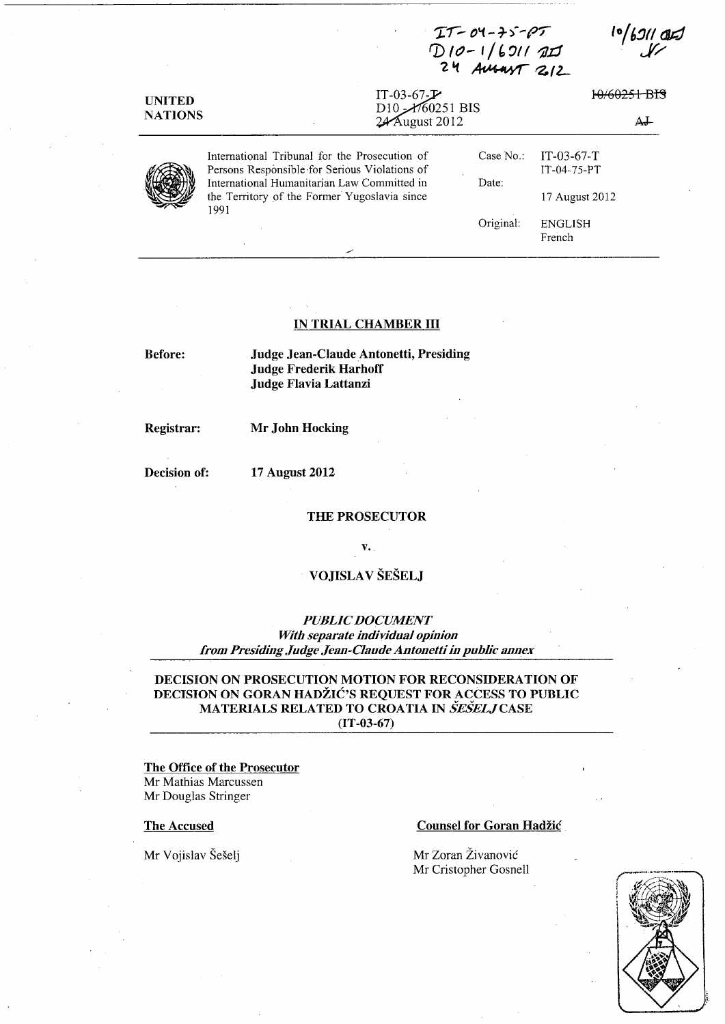| <b>UNITED</b><br><b>NATIONS</b> |                                                                                                     | D10-1/6211 AIJ<br>24 AUSANT 212                                                            |                          |  |
|---------------------------------|-----------------------------------------------------------------------------------------------------|--------------------------------------------------------------------------------------------|--------------------------|--|
|                                 | IT-03-67- $\mathcal{F}$                                                                             | 10/60251-RTS<br>D <sub>10</sub> $\frac{\cancel{0.00251}}{0.0251}}$<br>24 August 2012<br>AJ |                          |  |
|                                 |                                                                                                     |                                                                                            |                          |  |
|                                 | International Tribunal for the Prosecution of                                                       | Case No.:                                                                                  | $IT-03-67-T$             |  |
|                                 | Persons Responsible for Serious Violations of                                                       |                                                                                            | IT-04-75-PT              |  |
|                                 | International Humanitarian Law Committed in<br>the Territory of the Former Yugoslavia since<br>1991 | Date:                                                                                      | 17 August 2012           |  |
|                                 |                                                                                                     | Original:                                                                                  | <b>ENGLISH</b><br>French |  |

*-rr- O\(* **-7-)--pr** 

## **IN TRIAL CHAMBER III**

**Before:** 

**Judge Jean-Claude Antonetti, Presiding Judge Frederik Harhoff Judge Flavia Lattanzi** 

**Registrar:** 

# **Mr John Hocking**

**Decision of:** 

# **17 August 2012**

**THE PROSECUTOR** 

**v.** 

# **VOJISLA V SESELJ**

*PUBLIC DOCUMENT With separate individual opinion from Presiding Judge Jean-Claude Antonetti in public annex* 

# **DECISION ON PROSECUTION MOTION FOR RECONSIDERATION OF DECISION ON GORAN HADŽIĆ'S REQUEST FOR ACCESS TO PUBLIC MATERIALS RELATED TO CROA TIA IN** *SESELJCASE*  **(IT-03-67)**

**The Office of the Prosecutor**  Mr Mathias Marcussen Mr Douglas Stringer

**The Accused** 

Mr Vojislav Šešelj

## **Counsel for Goran Hadzic**

Mr Zoran Živanović Mr Cristopher Gosnell

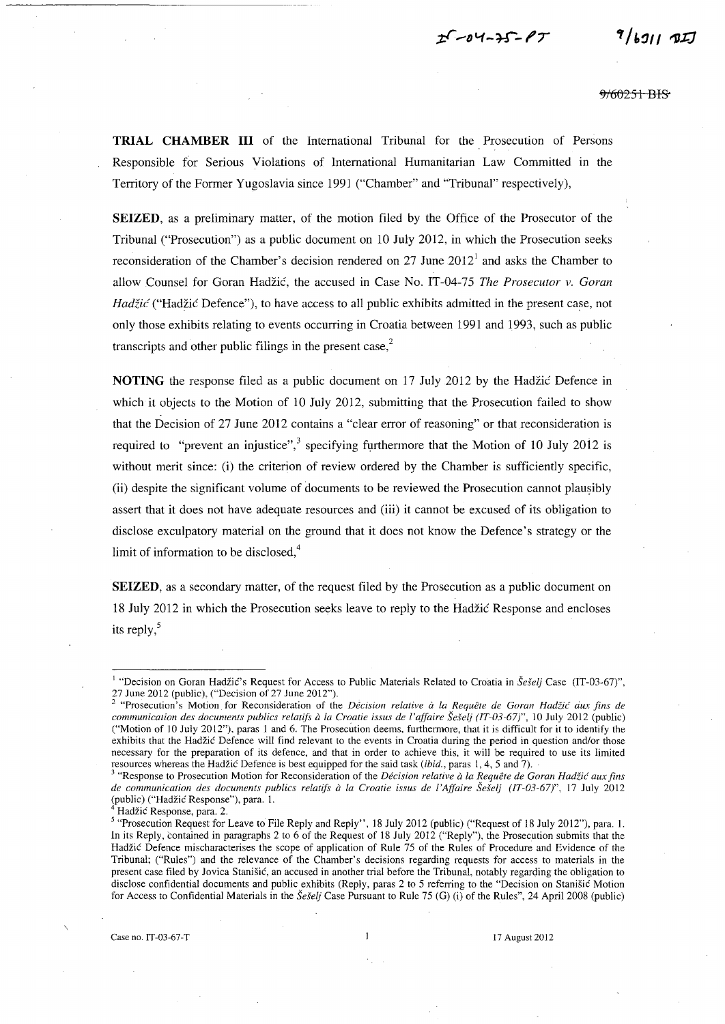$25 - 04 - 35 - 17$ 

9/60251 BIS

 $9/691171$ 

**TRIAL CHAMBER III** of the International Tribunal for the Prosecution of Persons Responsible for Serious Violations of International Humanitarian Law Committed in the Territory of the Former Yugoslavia since 1991 ("Chamber" and "Tribunal" respectively),

**SEIZED,** as a preliminary matter, of the motion filed by the Office of the Prosecutor of the Tribunal ("Prosecution") as a public document on 10 July 2012, in which the Prosecution seeks reconsideration of the Chamber's decision rendered on 27 June 2012<sup>1</sup> and asks the Chamber to allow Counsel for Ooran Hadzic, the accused in Case No. *IT-04-7S The Prosecutor* v. *Goran*   $Had\ddot{z}i\acute{c}$  ("Hadžić Defence"), to have access to all public exhibits admitted in the present case, not only those exhibits relating to events occurring in Croatia between 1991 and 1993, such as public transcripts and other public filings in the present case, $2^2$ 

**NOTING** the response filed as a public document on 17 July 2012 by the Hadzic Defence in which it objects to the Motion of 10 July 2012, submitting that the Prosecution failed to show that the Decision of 27 June 2012 contains a "clear error of reasoning" or that reconsideration is required to "prevent an injustice",<sup>3</sup> specifying furthermore that the Motion of 10 July 2012 is without merit since: (i) the criterion of review ordered by the Chamber is sufficiently specific, (ii) despite the significant volume of documents to be reviewed the Prosecution cannot plausibly assert that it does not have adequate resources and (iii) it cannot be excused of its obligation to disclose exculpatory material on the ground that it does not know the Defence's strategy or the limit of information to be disclosed, $4$ 

**SEIZED**, as a secondary matter, of the request filed by the Prosecution as a public document on 18 July 2012 in which the Prosecution seeks leave to reply to the Hadzic Response and encloses its reply, $5$ 

<sup>&</sup>lt;sup>1</sup> "Decision on Goran Hadžić's Request for Access to Public Materials Related to Croatia in Šešelj Case (IT-03-67)",

<sup>27</sup> June 2012 (public), ("Decision of 27 June 2012").<br><sup>2</sup> "Prosecution's Motion for Reconsideration of the *Décision relative à la Requête de Goran Hadžić aux fins de communication des documents publics relatifs* a *la Croatie issus de l'affaire SeSelj (IT-03-67)",* 10 July 2012 (public) ("Motion of 10 July 2012"), paras 1 and 6. The Prosecution deems, furthermore, that it is difficult for it to identify the exhibits that the Hadzic Defence will find relevant to the events in Croatia during the period in question and/or those necessary for the preparation of its defence, and that in order to achieve this, it will be required to use its limited resources whereas the Hadžić Defence is best equipped for the said task *(ibid., paras 1, 4, 5 and 7)*.

<sup>3 &</sup>quot;Response to Prosecution Motion for Reconsideration of the *Decision relative* a *la Requete de Goran HadZic aux fins de communication des documents publics relatifs* a *la Croatie issus de l'Affaire Seselj (IT-03-67)",* 17 July 2012 (public) ("Hadžić Response"), para. 1.

Hadžić Response, para. 2.

<sup>5 &</sup>quot;Prosecution Request for Leave to File Reply and Reply", 18 July 2012 (public) ("Request of 18 July 2012"), para. I. In its Reply, contained in paragraphs 2 to 6 of the Request of 18 July 2012 ("Reply"), the Prosecution submits that the Hadzic Defence mischaracterises the scope of application of Rule 75 of the Rules of Procedure and Evidence of the Tribunal; ("Rules") and the relevance of the Chamber's decisions regarding requests for access to materials in the present case filed by Jovica Stanisic, an accused in another trial before the Tribunal, notably regarding the obligation to disclose confidential documents and public exhibits (Reply, paras 2 to 5 referring to the "Decision on Stanisic Motion for Access to Confidential Materials in the *SeSelj* Case Pursuant to Rule 75 (G) (i) of the Rules", 24 April 2008 (public)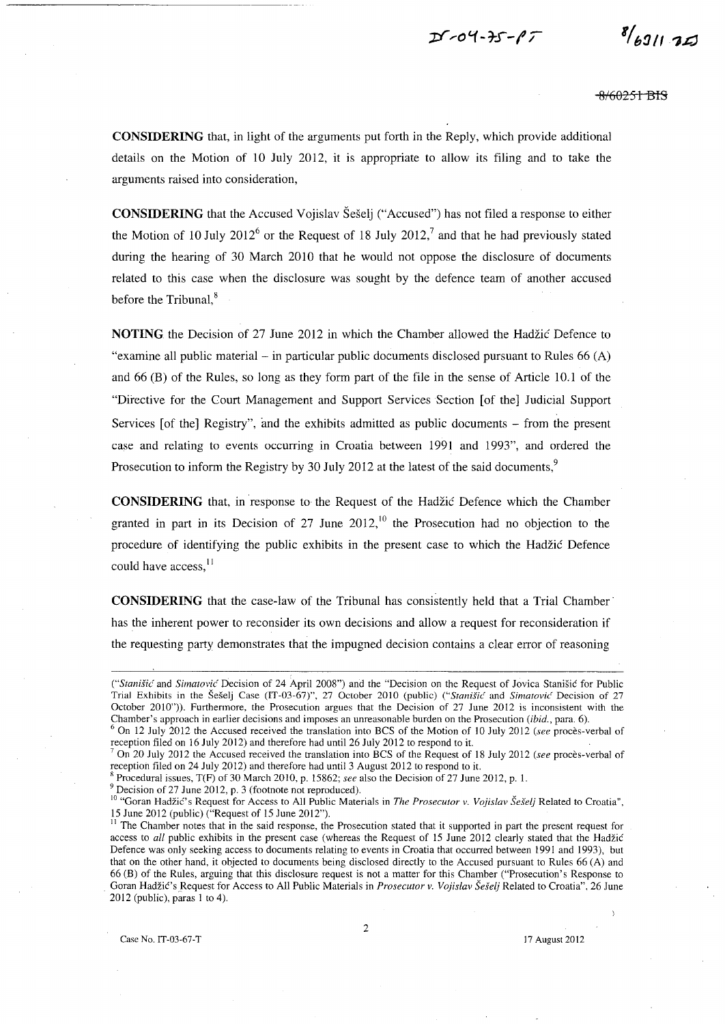$D - 04 - 75 - 17$ 

 $8/691175$ 

<del>8/60251 BIS</del>

**CONSIDERING** that, in light of the arguments put forth in the Reply, which provide additional details on the Motion of 10 July 2012, it is appropriate to allow its filing and to take the arguments raised into consideration,

**CONSIDERING** that the Accused Vojislav Seselj ("Accused") has not filed a response to either the Motion of 10 July 2012<sup>6</sup> or the Request of 18 July 2012,<sup>7</sup> and that he had previously stated during the hearing of 30 March 2010 that he would not oppose the disclosure of documents related to this case when the disclosure was sought by the defence team of another accused before the Tribunal, $<sup>8</sup>$ </sup>

**NOTING** the Decision of 27 June 2012 in which the Chamber allowed the Hadzic Defence to "examine all public material – in particular public documents disclosed pursuant to Rules  $66(A)$ and 66 (B) of the Rules, so long as they form part of the file in the sense of Article 10.1 of the "Directive for the Court Management and Support Services Section [of the] Judicial Support Services  $[of the]$  Registry", and the exhibits admitted as public documents  $-$  from the present case and relating to events occurring in Croatia between 1991 and 1993", and ordered the Prosecution to inform the Registry by 30 July 2012 at the latest of the said documents,<sup>9</sup>

**CONSIDERING** that, in response to the Request of the Hadzic Defence which the Chamber granted in part in its Decision of 27 June  $2012<sup>10</sup>$  the Prosecution had no objection to the procedure of identifying the public exhibits in the present case to which the Hadzic Defence could have access,<sup>11</sup>

**CONSIDERING** that the case-law of the Tribunal has consistently held that a Trial Chamber' has the inherent power to reconsider its own decisions and allow a request for reconsideration if the requesting party demonstrates that the impugned decision contains a clear error of reasoning

<sup>R</sup>Procedural issues, T(F) of 30 March 2010, p. 15862; *see* also the Decision of 27 June 2012, p. 1.

 $9$  Decision of 27 June 2012, p. 3 (footnote not reproduced).

*CStanišić* and *Simatović* Decision of 24 April 2008") and the "Decision on the Request of Jovica Stanišić for Public Trial Exhibits in the Seselj Case (IT-03-67)", 27 October 2010 (public) *("Stanisic* and *Simatovi('* Decision of 27 October 2010"». Furthennore, the Prosecution argues that the Decision of 27 June 2012 is inconsistent with the Chamber's approach in earlier decisions and imposes an unreasonable burden on the Prosecution *(ibid.,* para. 6).

<sup>6</sup> On 12 July 2012 the Accused received the translation into BCS of the Motion of 10 July 2012 *(see* proces-verbal of reception filed on 16 July 2012) and therefore had until 26 July 2012 to respond to it.

<sup>7</sup> On 20 July 2012 the Accused received the translation into BCS of the Request of 18 July 2012 *(see* proces-verbal of reception filed on 24 July 2012) and therefore had until 3 August 2012 to respond to it.

<sup>&</sup>lt;sup>10</sup> "Goran Hadžić's Request for Access to All Public Materials in *The Prosecutor v. Vojislav Šešelj* Related to Croatia", 15 June 2012 (public) ("Request of 15 June 2012").

<sup>&</sup>lt;sup>11</sup> The Chamber notes that in the said response, the Prosecution stated that it supported in part the present request for access to *all* public exhibits in the present case (whereas the Request of 15 June 2012 clearly stated that the Hadžić Defence was only seeking access to documents relating to events in Croatia that occurred between 1991 and 1993), but that on the other hand, it objected to documents being disclosed directly to the Accused pursuant to Rules 66 (A) and 66 (B) of the Rules, arguing that this disclosure request is not a matter for this Chamber ("Prosecution's Response to Goran Hadžić's Request for Access to All Public Materials in *Prosecutor v. Vojislav Šešelj* Related to Croatia", 26 June  $2012$  (public), paras 1 to 4).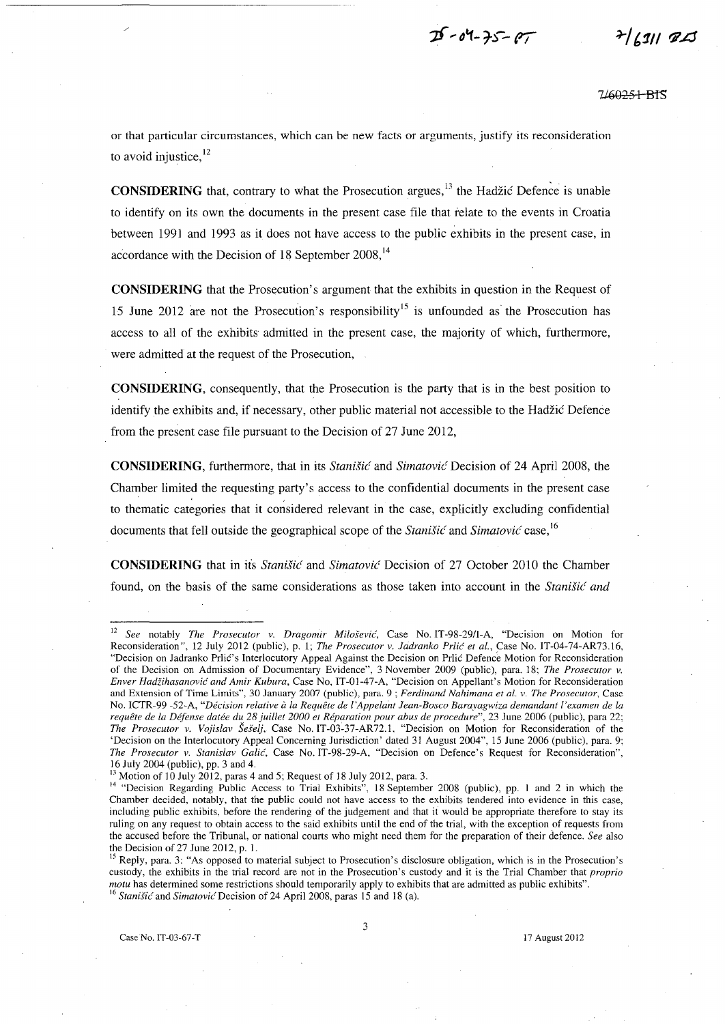$25 - 04 - 75 - 07$ 

7460<del>251 B</del>IS

or that particular circumstances, which can be new facts or arguments, justify its reconsideration to avoid injustice.<sup>12</sup>

**CONSIDERING** that, contrary to what the Prosecution argues,<sup>13</sup> the Hadžić Defence is unable to identify on its own the documents in the present case file that relate to the events in Croatia between 1991 and 1993 as it does not have access to the public exhibits in the present case, in accordance with the Decision of 18 September  $2008$ ,<sup>14</sup>

**CONSIDERING** that the Prosecution's argument that the exhibits in question in the Request of 15 June 2012 are not the Prosecution's responsibility<sup>15</sup> is unfounded as the Prosecution has access to all of the exhibits admitted in the present case, the majority of which, furthermore, were admitted at the request of the Prosecution,

**CONSIDERING,** consequently, that the Prosecution is the party that is in the best position to identify the exhibits and, if necessary, other public material not accessible to the Hadzic Defence from the present case file pursuant to the Decision of 27 June 2012,

**CONSIDERING**, furthermore, that in its *Stanišić* and *Simatović* Decision of 24 April 2008, the Chamber limited the requesting party's access to the confidential documents in the present case to thematic categories that it considered relevant in the case, explicitly excluding confidential documents that fell outside the geographical scope of the *Stanisic* and *Simatovic* case, 16

**CONSIDERING** that in its *Stanišić* and *Simatović* Decision of 27 October 2010 the Chamber found, on the basis of the same considerations as those taken into account in the *Stanisic and* 

<sup>12</sup>*See* notably *The Prosecutor* v. *Dragomir Milosevic,* Case No.IT-98-29/I-A, "Decision on Motion for Reconsideration", 12 July 2012 (public), p. 1; *The Prosecutor* v . *.ladranko Prlic et aI.,* Case No. IT-04-74-AR73.16, "Decision on Jadranko Prlic's Interlocutory Appeal Against the Decision on Prlic Defence Motion for Reconsideration of the Decision on Admission of Documentary Evidence", 3 November 2009 (public), para. 18; *The Prosecutor* v. *Enver Hadiihasanovic and Amir Kubura,* Case No, IT-01-47-A, "Decision on Appellant's Motion for Reconsideration and Extension of Time Limits", 30 January 2007 (public), para. 9 ; *Ferdinand Nahimana et af. v. The Prosecutor,* Case No. ICTR-99 -52-A, "Décision relative à la Requête de l'Appelant Jean-Bosco Barayagwiza demandant l'examen de la requête de la Défense datée du 28 juillet 2000 et Réparation pour abus de procedure", 23 June 2006 (public), para 22; *The Prosecutor* v. *Vo}islav SeSel},* Case No. IT-03~37-AR72.1, "Decision on Motion for Reconsideration of the 'Decision on the Interlocutory Appeal Concerning Jurisdiction' dated 31 August 2004", IS June 2006 (public), para. 9; *The Prosecutor v. Stanislav Galic,* Case No.IT-98-29-A, "Decision on Defence's Request for Reconsideration", 16 July 2004 (public), pp. 3 and 4.

 $13$  Motion of 10 July 2012, paras 4 and 5; Request of 18 July 2012, para. 3.

<sup>&</sup>lt;sup>14</sup> "Decision Regarding Public Access to Trial Exhibits", 18 September 2008 (public), pp. 1 and 2 in which the Chamber decided, notably, that the public could not have access to the exhibits tendered into evidence in this case, including public exhibits, before the rendering of the judgement and that it would be appropriate therefore to stay its ruling on any request to obtain access to the said exhibits until the end of the trial, with the exception of requests from the accused before the Tribunal, or national courts who might need them for the preparation of their defence. *See* also the Decision of 27 June 2012, p. 1.

<sup>&</sup>lt;sup>15</sup> Reply, para. 3: "As opposed to material subject to Prosecution's disclosure obligation, which is in the Prosecution's custody, the exhibits in the trial record are not in the Prosecution's custody and it is the Trial Chamber that *proprio motu* has determined some restrictions should temporarily apply to exhibits that are admitted as public exhibits". <sup>16</sup> Stanišić and *Simatović* Decision of 24 April 2008, paras 15 and 18 (a).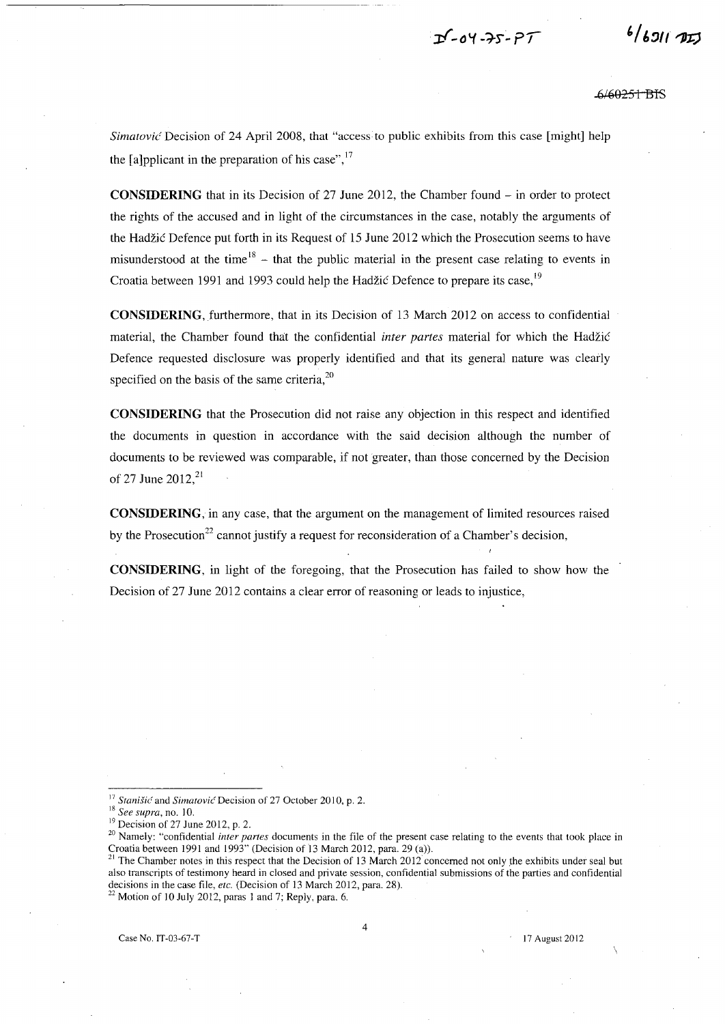$D - 04 - 25 - 97$ 

 $6/691172$ 

.6/60<del>251 BI</del>S

Simatovic Decision of 24 April 2008, that "access to public exhibits from this case [might] help the [a]pplicant in the preparation of his case", $17$ 

**CONSIDERING** that in its Decision of 27 June 2012, the Chamber found - in order to protect the rights of the accused and in light of the circumstances in the case, notably the arguments of the Hadzic Defence put forth in its Request of 15 June 2012 which the Prosecution seems to have misunderstood at the time  $18$  - that the public material in the present case relating to events in Croatia between 1991 and 1993 could help the Hadžić Defence to prepare its case,<sup>19</sup>

**CONSIDERING,** furthermore, that in its Decision of 13 March 2012 on access to confidential material, the Chamber found that the confidential *inter partes* material for which the Hadzic Defence requested disclosure was properly identified and that its general nature was clearly specified on the basis of the same criteria,<sup>20</sup>

**CONSIDERING** that the Prosecution did not raise any objection in this respect and identified the documents in question in accordance with the said decision although the number of documents to be reviewed was comparable, if not greater, than those concerned by the Decision of 27 June 2012,<sup>21</sup>

**CONSIDERING,** in any case, that the argument on the management of limited resources raised by the Prosecution<sup>22</sup> cannot justify a request for reconsideration of a Chamber's decision,

**CONSIDERING,** in light of the foregoing, that the Prosecution has failed to show how the Decision of 27 June 2012 contains a clear error of reasoning or leads to injustice,

 $22$  Motion of 10 July 2012, paras 1 and 7; Reply, para. 6.

<sup>&</sup>lt;sup>17</sup> Stanišić and *Simatović* Decision of 27 October 2010, p. 2.

<sup>18</sup>*See supra,* no. 10.

 $19$  Decision of 27 June 2012, p. 2.

<sup>&</sup>lt;sup>20</sup> Namely: "confidential *inter partes* documents in the file of the present case relating to the events that took place in Croatia between 1991 and 1993" (Decision of 13 March 2012, para. 29 (a).

<sup>&</sup>lt;sup>21</sup> The Chamber notes in this respect that the Decision of 13 March 2012 concerned not only the exhibits under seal but also transcripts of testimony heard in closed and private session, confidential submissions of the parties and confidential decisions in the case file, *etc.* (Decision of 13 March 2012, para. 28).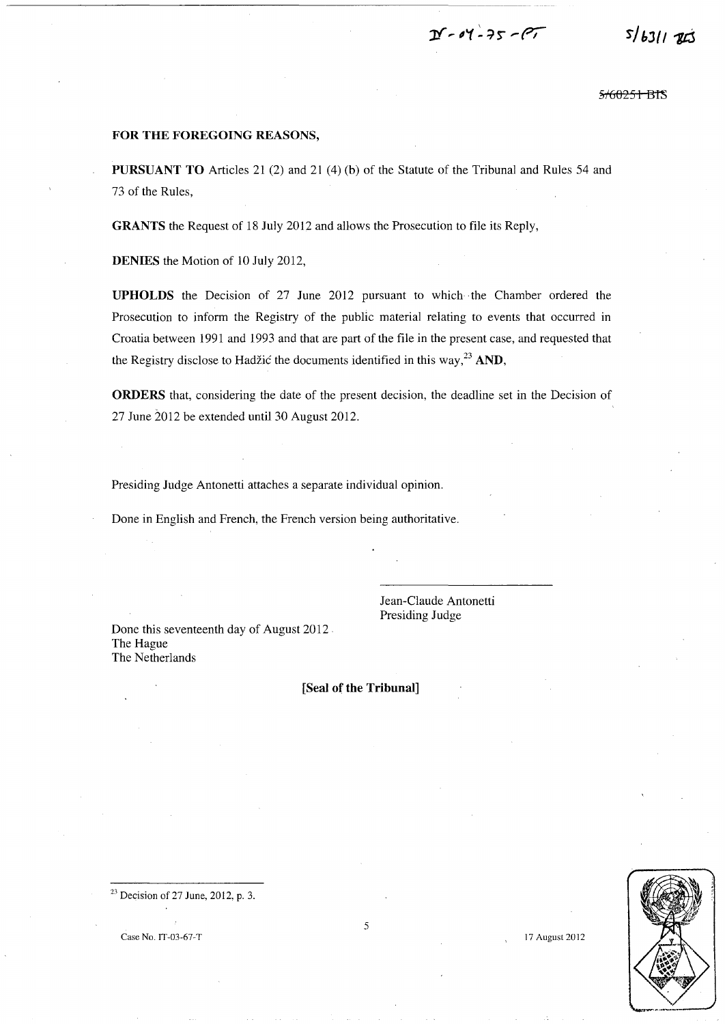$D - 04 - 75 - 107$ 

5<del>/60251 B</del>TS

**r/ bJ{ I** *"lis* 

#### **FOR THE FOREGOING REASONS,**

**PURSUANT TO** Articles 21 (2) and 21 (4) (b) of the Statute of the Tribunal and Rules *S4* and 73 of the Rules,

**GRANTS** the Request of 18 July 2012 and allows the Prosecution to file its Reply,

**DENIES** the Motion of 10 July 2012,

**UPHOLDS** the Decision of 27 June 2012 pursuant to which the Chamber ordered the Prosecution to inform the Registry of the public material relating to events that occurred in Croatia between 1991 and 1993 and that are part of the file in the present case, and requested that the Registry disclose to Hadžić the documents identified in this way,<sup>23</sup> AND,

**ORDERS** that, considering the date of the present decision, the deadline set in the Decision of 27 June 2012 be extended until 30 August 2012.

Presiding Judge Antonetti attaches a separate individual opinion.

Done in English and French, the French version being authoritative.

Done this seventeenth day of August 2012 The Hague The Netherlands

Jean-Claude Antonetti Presiding Judge

### **[Seal of the Tribunal]**



 $23$  Decision of 27 June, 2012, p. 3.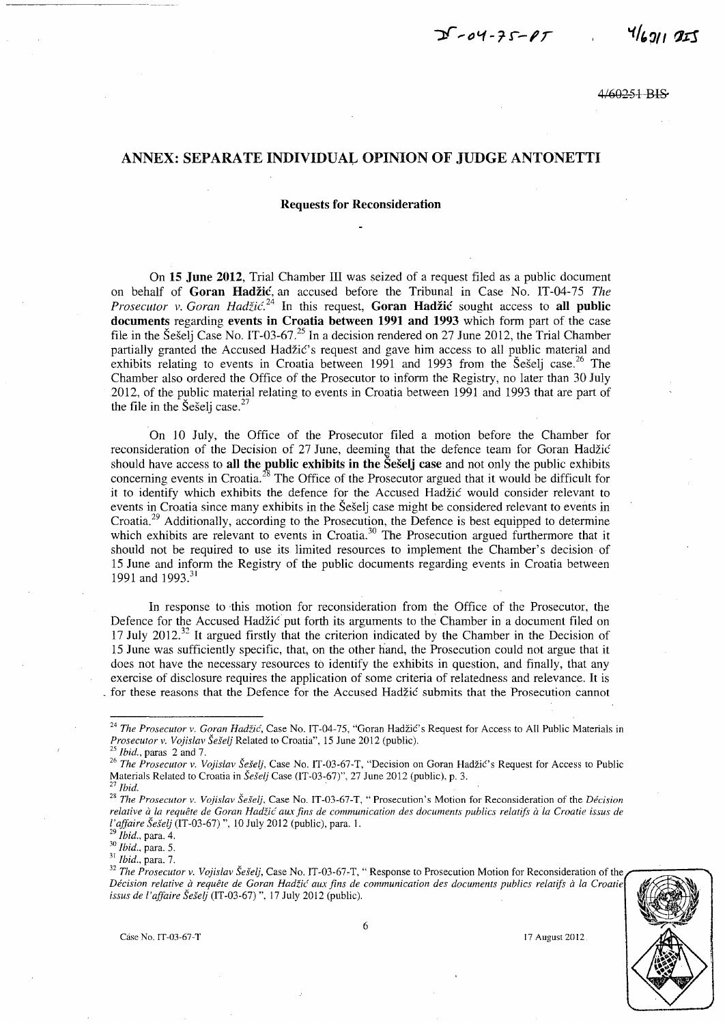$4/691195$ 

460251 BIS

## ANNEX: SEPARATE INDIVIDUAL OPINION OF JUDGE ANTONETTI

#### Requests for Reconsideration

On 15 June 2012, Trial Chamber III was seized of a request filed as a public document on behalf of Goran Hadzic, an accused before the Tribunal in Case No. IT-04-75 *The Prosecutor v. Goran Hadžić.*<sup>24</sup> In this request, **Goran Hadžić** sought access to all public documents regarding events in Croatia between 1991 and 1993 which form part of the case file in the Šešelj Case No. IT-03-67.<sup>25</sup> In a decision rendered on 27 June 2012, the Trial Chamber partially granted the Accused Hadžić's request and gave him access to all public material and exhibits relating to events in Croatia between 1991 and 1993 from the Seselj case.<sup>26</sup> The Chamber also ordered the Office of the Prosecutor to inform the Registry, no later than 30 July 2012, of the public material relating to events in Croatia between 1991 and 1993 that are part of the file in the Seseli case.<sup>2</sup>

On 10 July, the Office of the Prosecutor filed a motion before the Chamber for reconsideration of the Decision of 27 June, deeming that the defence team for Goran Hadžić should have access to all the public exhibits in the Seselj case and not only the public exhibits concerning events in Croatia.<sup>28</sup> The Office of the Prosecutor argued that it would be difficult for it to identify which exhibits the defence for the Accused Hadzic would consider relevant to events in Croatia since many exhibits in the Seselj case might be considered relevant to events in Croatia.29 Additionally, according to the Prosecution, the Defence is best equipped to determine which exhibits are relevant to events in Croatia.<sup>30</sup> The Prosecution argued furthermore that it should not be required to use its limited resources to implement the Chamber's decision· of IS June and inform the Registry of the public documents regarding events in Croatia between 1991 and 1993.<sup>31</sup>

In response to this motion for reconsideration from the Office of the Prosecutor, the Defence for the Accused Hadzic put forth its arguments to the Chamber in a document filed on 17 July 2012.<sup>32</sup> It argued firstly that the criterion indicated by the Chamber in the Decision of 15 June was sufficiently specific, that, on the other hand, the Prosecution could not argue that it does not have the necessary resources to identify the exhibits in question, and finally, that any exercise of disclosure requires the application of some criteria of relatedness and relevance. It is for these reasons that the Defence for the Accused Hadžić submits that the Prosecution cannot

*29 Ibid.,* para. 4.

*30 Ibid.,* para. 5.

<sup>31</sup>*Ibid.,* para. 7.

<sup>&</sup>lt;sup>32</sup> The Prosecutor v. Vojislav Šešelj, Case No. IT-03-67-T, "Response to Prosecution Motion for Reconsideration of the Décision relative à requête de Goran Hadžić aux fins de communication des documents publics relatifs à la Croatie *issus de l'ajfaire SeSelj* (IT-03-67)". 17 July 2012 (public).





<sup>&</sup>lt;sup>24</sup> The Prosecutor v. Goran Hadžić, Case No. IT-04-75, "Goran Hadžić's Request for Access to All Public Materials in *Prosecutor* v. *Vojislav Seselj* Related to Croatia", 15 June 2012 (public).

*<sup>25</sup> Ibid.,* paras 2 and 7.

<sup>&</sup>lt;sup>26</sup> The Prosecutor v. Vojislav Šešelj, Case No. IT-03-67-T, "Decision on Goran Hadžić's Request for Access to Public Materials Related to Croatia in *Šešelj* Case (IT-03-67)", 27 June 2012 (public), p. 3. <sup>27</sup> *Ibid.* 

<sup>28</sup>*The Prosecutor* v. *Vojislav SeSelj.* Case No. IT-03-67-T, "Prosecution's Motion for Reconsideration of the *Decision relative* if *la requere de Goran Hadiic aux fins de communication des documents publics relatifs* if *la Croatie issus de l'ajfaire SeSelj* (IT-03-67)", 10 July 2012 (public), para. 1.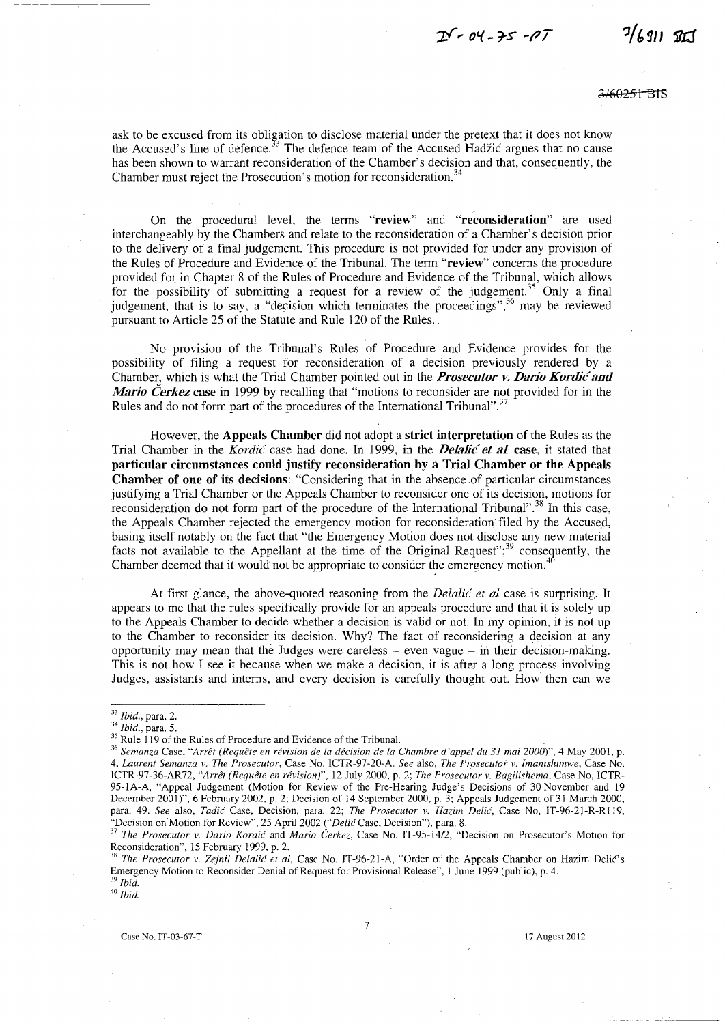$25 - 04 - 75 - 07$ 

 $7/6911921$ 

2/60<del>251 BTS</del>

ask to be excused from its obligation to disclose material under the pretext that it does not know the Accused's line of defence.<sup>33</sup> The defence team of the Accused Hadžić argues that no cause has been shown to warrant reconsideration of the Chamber's decision and that, consequently, the Chamber must reject the Prosecution's motion for reconsideration.<sup>3</sup>

On the procedural level, the terms "review" and "reconsideration" are used interchangeably by the Chambers and relate to the reconsideration of a Chamber's decision prior to the delivery of a final judgement. This procedure is not provided for under any provision of the Rules of Procedure and Evidence of the Tribunal. The term "review" concerns the procedure provided for in Chapter 8 of the Rules of Procedure and Evidence of the Tribunal, which allows for the possibility of submitting a request for a review of the judgement.<sup>35</sup> Only a final judgement, that is to say, a "decision which terminates the proceedings", $36$  may be reviewed pursuant to Article *2S* of the Statute and Rule 120 of the Rules.

No provision of the Tribunal's Rules of Procedure and Evidence provides for the possibility of filing a request for reconsideration of a decision previously rendered by a Chamber, which is what the Trial Chamber pointed out in the *Prosecutor v. Dario Kordic and Mario Cerkez* case in 1999 by recalling that "motions to reconsider are not provided for in the Rules and do not form part of the procedures of the International Tribunal".<sup>37</sup>

However, the Appeals Chamber did not adopt a strict interpretation of the Rules as the Trial Chamber in the *Kordić* case had done. In 1999, in the *Delalić et al.* case, it stated that particular circumstances could justify reconsideration by a Trial Chamber or the Appeals Chamber of one of its decisions: "Considering that in the absence .of particular circumstances justifying a Trial Chamber or the Appeals Chamber to reconsider one of its decision, motions for reconsideration do not form part of the procedure of the International Tribunal".<sup>38</sup> In this case, the Appeals Chamber rejected the emergency motion for reconsideration filed by the Accused, basing itself notably on the fact that "the Emergency Motion does not disclose any new material facts not available to the Appellant at the time of the Original Request";<sup>39</sup> consequently, the Chamber deemed that it would not be appropriate to consider the emergency motion.<sup>40</sup>

At first glance, the above-quoted reasoning from the *Delalic et al* case is surprising. It appears to me that the rules specifically provide for an appeals procedure and that it is solely up to the Appeals Chamber to decide whether a decision is valid or not. In my opinion, it is not up to the Chamber to reconsider its decision. Why? The fact of reconsidering a decision at any opportunity may mean that the Judges were careless  $-$  even vague  $-$  in their decision-making. This is not how I see it because when we make a decision, it is after a long process involving Judges, assistants and interns, and every decision is carefully thought out. How then can we

*<sup>33</sup> Ibid.,* para. 2.

*<sup>34</sup> Ibid.,* para. 5.

<sup>&</sup>lt;sup>35</sup> Rule 119 of the Rules of Procedure and Evidence of the Tribunal.

*<sup>36</sup> Semanza* Case, *"Arret (Requete en revision de la decision de la Chambre d'appel du* 31 *mai 2000)",* 4 May 2001, p. *4, Laurent Semanza* v. *The Prosecutor,* Case No. ICTR-97-20-A. *See* also, *The Prosecutor* v. *Imanishimwe,* Case No. ICTR-97-36-AR72, "Arrêt (Requête en révision)", 12 July 2000, p. 2; *The Prosecutor v. Bagilishema*, Case No, ICTR-95-1A-A, "Appeal Judgement (Motion for Review of the Pre-Hearing Judge's Decisions of 30 November and 19 December 2001)", 6 February 2002, p. 2; Decision of 14 September 2000, p. 3; Appeals Judgement of 31 March 2000, para. 49. *See* also, *Tadic'* Case, Decision, para. 22; *The Prosecutor* v. *Hazim Delic',* Case No, IT-96-21-R-RI19, "Decision on Motion for Review", 25 April 2002 *("Delic Case, Decision")*, para. 8.

<sup>37</sup>*The Prosecutor* v. *Dario Kordic'* and *Mario Cerkez,* Case No. *IT-95-14/2,* "Decision on Prosecutor's Motion for Reconsideration", 15 February 1999, p. 2.

<sup>&</sup>lt;sup>38</sup> The Prosecutor v. Zejnil Delalić et al, Case No. IT-96-21-A, "Order of the Appeals Chamber on Hazim Delić's Emergency Motion to Reconsider Denial of Request for Provisional Release", 1 June 1999 (public), p. 4. <sup>39</sup>*Ibid.* 

<sup>40</sup>*Ibid.*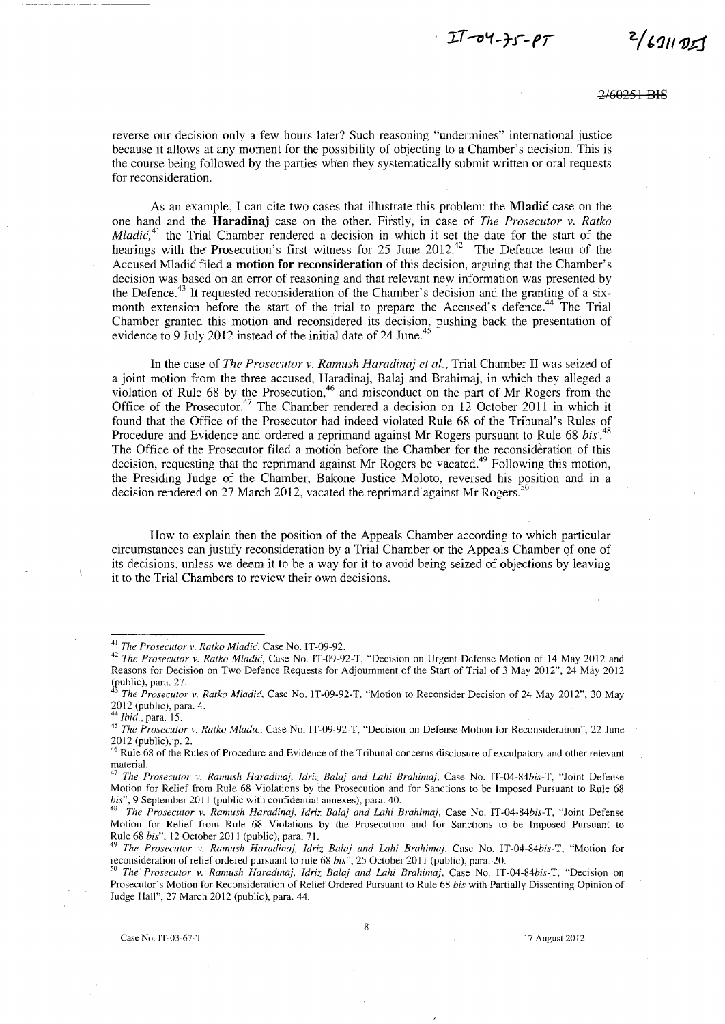$I - 04 - 35 - 97$ 

*z../I/)* **/l1J.rj** 

reverse our decision only a few hours later? Such reasoning "undermines" international justice because it allows at any moment for the possibility of objecting to a Chamber's decision. This is the course being followed by the parties when they systematically submit written or oral requests for reconsideration.

As an example, I can cite two cases that illustrate this problem: the **Mladic** case on the one hand and the **Haradinaj** case on the other. Firstly, in case of *The Prosecutor* v. *Ratko Mladic*<sup>41</sup> the Trial Chamber rendered a decision in which it set the date for the start of the hearings with the Prosecution's first witness for 25 June 2012.<sup>42</sup> The Defence team of the Accused Mladic filed a **motion for reconsideration** of this decision, arguing that the Chamber's decision was based on an error of reasoning and that relevant new information was presented by the Defence.<sup>43</sup> It requested reconsideration of the Chamber's decision and the granting of a sixmonth extension before the start of the trial to prepare the Accused's defence.<sup>44</sup> The Trial Chamber granted this motion and reconsidered its decision, pushing back the presentation of evidence to 9 July 2012 instead of the initial date of 24 June.<sup>45</sup>

In the case of *The Prosecutor* v. *Ramush Haradinaj et aI.,* Trial Chamber II was seized of a joint motion from the three accused, Haradinaj, Balaj and Brahimaj, in which they alleged a violation of Rule 68 by the Prosecution,<sup>46</sup> and misconduct on the part of Mr Rogers from the Office of the Prosecutor.<sup>47</sup> The Chamber rendered a decision on 12 October 2011 in which it found that the Office of the Prosecutor had indeed violated Rule 68 of the Tribunal's Rules of Procedure and Evidence and ordered a reprimand against Mr Rogers pursuant to Rule 68 *bis·.<sup>48</sup>* The Office of the Prosecutor filed a motion before the Chamber for the reconsideration of this decision, requesting that the reprimand against Mr Rogers be vacated.<sup>49</sup> Following this motion, the Presiding Judge of the Chamber, Bakone Justice Moloto, reversed his position and in a decision rendered on 27 March 2012, vacated the reprimand against Mr Rogers.<sup>5</sup>

How to explain then the position of the Appeals Chamber according to which particular circumstances can justify reconsideration by a Trial Chamber or the Appeals Chamber of one of its decisions, unless we deem it to be a way for it to avoid being seized of objections by leaving it to the Trial Chambers to review their own decisions.

<sup>&</sup>lt;sup>41</sup> The Prosecutor v. Ratko Mladić, Case No. IT-09-92.

*<sup>42</sup> The Prosecutor v. Ratko MladiG',* Case No. IT-09-92-T, "Decision on Urgent Defense Motion of 14 May 2012 and Reasons for Decision on Two Defence Requests for Adjournment of the Start of Trial of 3 May 2012", 24 May 2012 (public), para. 27.

<sup>&</sup>lt;sup>43</sup> The Prosecutor v. Ratko Mladić, Case No. IT-09-92-T, "Motion to Reconsider Decision of 24 May 2012", 30 May 2012 (public), para. 4.

*<sup>44</sup> Ibid.,* para. 15.

<sup>&</sup>lt;sup>45</sup> The Prosecutor v. Ratko Mladić, Case No. IT-09-92-T, "Decision on Defense Motion for Reconsideration", 22 June 2012 (public), p. 2.

<sup>&</sup>lt;sup>46</sup> Rule 68 of the Rules of Procedure and Evidence of the Tribunal concerns disclosure of exculpatory and other relevant material.

*<sup>47</sup> The Prosecutor v. Ramush Haradinaj, Idriz Balaj and Lahi Brahimaj,* Case No. *IT-04-84bis-T,* "Joint Defense Motion for Relief from Rule 68 Violations by the Prosecution and for Sanctions to be Imposed Pursuant to Rule 68 *bis"*, 9 September 2011 (public with confidential annexes), para. 40.

*<sup>48</sup> The Prosecutor v. Ramush Haradinaj, Idriz Balaj and Lahi Brahimaj,* Case No. IT-04-84bis-T, "Joint Defense Motion for Relief from Rule 68 Violations by the Prosecution and for Sanctions to be Imposed Pursuant to Rule 68 *bis",* 12 October 2011 (public), para. 71.

*<sup>49</sup> The Prosecutor v. Ramush Haradinaj, Idriz Balaj and Lahi Brahimaj,* Case No. IT-04-84bis-T, "Motion for reconsideration of relief ordered pursuant to rule 68 *bis",* 25 October 2011 (public), para. 20.

*<sup>50</sup> The Prosecutor v. Ramush Haradinaj, Idriz Balaj and Lahi Brahimaj,* Case No. *IT-04-84bis-*T, "Decision on Prosecutor's Motion for Reconsideration of Relief Ordered Pursuant to Rule 68 *bis* with Partially Dissenting Opinion of Judge Hall", 27 March 2012 (public), para. 44.